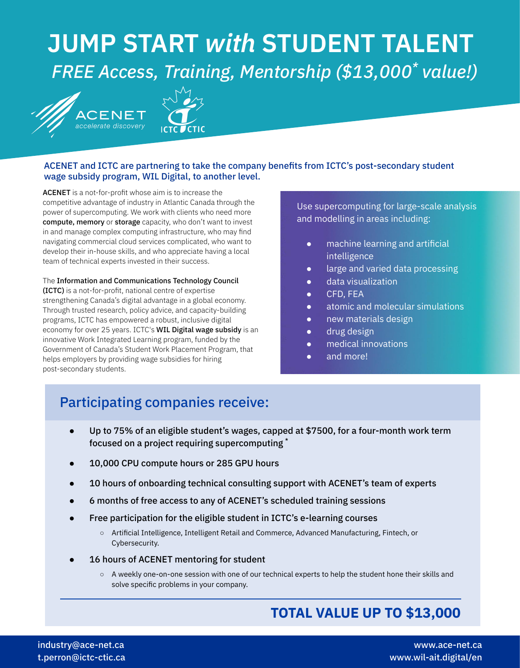# **JUMP START** *with* **STUDENT TALENT** *FREE Access, Training, Mentorship (\$13,000\* value!)*





## ACENET and ICTC are partnering to take the company benefits from ICTC's post-secondary student wage subsidy program, WIL Digital, to another level.

ACENET is a not-for-profit whose aim is to increase the competitive advantage of industry in Atlantic Canada through the power of supercomputing. We work with clients who need more compute, memory or storage capacity, who don't want to invest in and manage complex computing infrastructure, who may find navigating commercial cloud services complicated, who want to develop their in-house skills, and who appreciate having a local team of technical experts invested in their success.

The Information and Communications Technology Council (ICTC) is a not-for-profit, national centre of expertise strengthening Canada's digital advantage in a global economy. Through trusted research, policy advice, and capacity-building programs, ICTC has empowered a robust, inclusive digital economy for over 25 years. ICTC's WIL Digital wage subsidy is an innovative Work Integrated Learning program, funded by the Government of Canada's Student Work Placement Program, that helps employers by providing wage subsidies for hiring post-secondary students.

Use supercomputing for large-scale analysis and modelling in areas including:

- machine learning and artificial intelligence
- large and varied data processing
- data visualization
- CFD, FEA
- atomic and molecular simulations
- new materials design
- drug design
- medical innovations
- and more!

# Participating companies receive:

- Up to 75% of an eligible student's wages, capped at \$7500, for a four-month work term focused on a project requiring supercomputing \*
- 10,000 CPU compute hours or 285 GPU hours
- 10 hours of onboarding technical consulting support with ACENET's team of experts
- 6 months of free access to any of ACENET's scheduled training sessions
- Free participation for the eligible student in ICTC's e-learning courses
	- Artificial Intelligence, Intelligent Retail and Commerce, Advanced Manufacturing, Fintech, or Cybersecurity.
- 16 hours of ACENET mentoring for student
	- A weekly one-on-one session with one of our technical experts to help the student hone their skills and solve specific problems in your company.

# **TOTAL VALUE UP TO \$13,000**